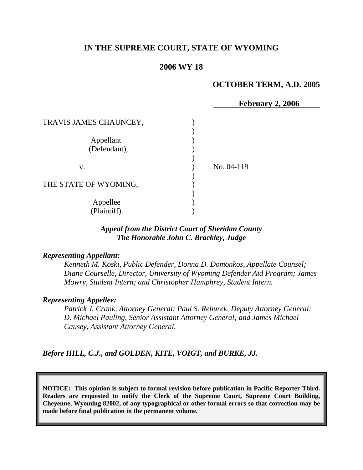# **IN THE SUPREME COURT, STATE OF WYOMING**

### **2006 WY 18**

### **OCTOBER TERM, A.D. 2005**

|                           | February 2, 2006 |
|---------------------------|------------------|
| TRAVIS JAMES CHAUNCEY,    |                  |
| Appellant<br>(Defendant), |                  |
| V.                        | No. 04-119       |
| THE STATE OF WYOMING,     |                  |
| Appellee<br>(Plaintiff).  |                  |

# *Appeal from the District Court of Sheridan County The Honorable John C. Brackley, Judge*

### *Representing Appellant:*

*Kenneth M. Koski, Public Defender, Donna D. Domonkos, Appellate Counsel; Diane Courselle, Director, University of Wyoming Defender Aid Program; James Mowry, Student Intern; and Christopher Humphrey, Student Intern.* 

#### *Representing Appellee:*

 *Patrick J. Crank, Attorney General; Paul S. Rehurek, Deputy Attorney General; D. Michael Pauling, Senior Assistant Attorney General; and James Michael Causey, Assistant Attorney General.* 

*Before HILL, C.J., and GOLDEN, KITE, VOIGT, and BURKE, JJ.* 

**NOTICE: This opinion is subject to formal revision before publication in Pacific Reporter Third. Readers are requested to notify the Clerk of the Supreme Court, Supreme Court Building, Cheyenne, Wyoming 82002, of any typographical or other formal errors so that correction may be made before final publication in the permanent volume.**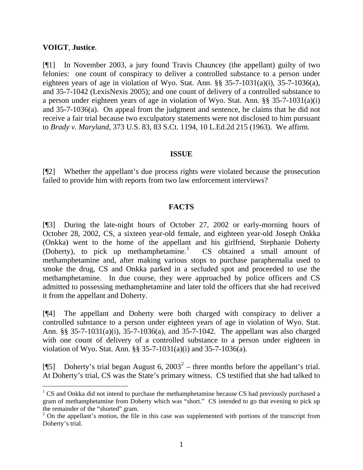#### **VOIGT**, **Justice**.

[¶1] In November 2003, a jury found Travis Chauncey (the appellant) guilty of two felonies: one count of conspiracy to deliver a controlled substance to a person under eighteen years of age in violation of Wyo. Stat. Ann. §§ 35-7-1031(a)(i), 35-7-1036(a), and 35-7-1042 (LexisNexis 2005); and one count of delivery of a controlled substance to a person under eighteen years of age in violation of Wyo. Stat. Ann. §§ 35-7-1031(a)(i) and 35-7-1036(a). On appeal from the judgment and sentence, he claims that he did not receive a fair trial because two exculpatory statements were not disclosed to him pursuant to *Brady v. Maryland*, 373 U.S. 83, 83 S.Ct. 1194, 10 L.Ed.2d 215 (1963). We affirm.

### **ISSUE**

[¶2] Whether the appellant's due process rights were violated because the prosecution failed to provide him with reports from two law enforcement interviews?

### **FACTS**

[¶3] During the late-night hours of October 27, 2002 or early-morning hours of October 28, 2002, CS, a sixteen year-old female, and eighteen year-old Joseph Onkka (Onkka) went to the home of the appellant and his girlfriend, Stephanie Doherty (Doherty), to pick up methamphetamine.<sup>[1](#page-1-0)</sup> CS obtained a small amount of methamphetamine and, after making various stops to purchase paraphernalia used to smoke the drug, CS and Onkka parked in a secluded spot and proceeded to use the methamphetamine. In due course, they were approached by police officers and CS admitted to possessing methamphetamine and later told the officers that she had received it from the appellant and Doherty.

[¶4] The appellant and Doherty were both charged with conspiracy to deliver a controlled substance to a person under eighteen years of age in violation of Wyo. Stat. Ann. §§ 35-7-1031(a)(i), 35-7-1036(a), and 35-7-1042. The appellant was also charged with one count of delivery of a controlled substance to a person under eighteen in violation of Wyo. Stat. Ann. §§ 35-7-1031(a)(i) and 35-7-1036(a).

[ $[$ [5] Doherty's trial began August 6, [2](#page-1-1)003<sup>2</sup> – three months before the appellant's trial. At Doherty's trial, CS was the State's primary witness. CS testified that she had talked to

<span id="page-1-0"></span> $1 \text{ CS}$  and Onkka did not intend to purchase the methamphetamine because CS had previously purchased a gram of methamphetamine from Doherty which was "short." CS intended to go that evening to pick up the remainder of the "shorted" gram.

<span id="page-1-1"></span> $2$  On the appellant's motion, the file in this case was supplemented with portions of the transcript from Doherty's trial.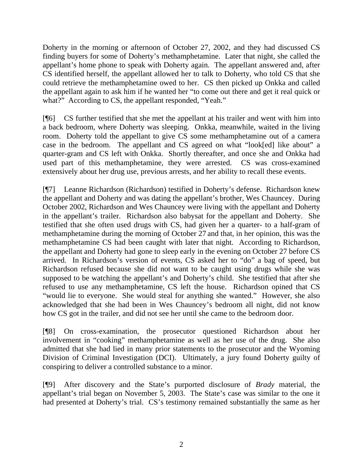Doherty in the morning or afternoon of October 27, 2002, and they had discussed CS finding buyers for some of Doherty's methamphetamine. Later that night, she called the appellant's home phone to speak with Doherty again. The appellant answered and, after CS identified herself, the appellant allowed her to talk to Doherty, who told CS that she could retrieve the methamphetamine owed to her. CS then picked up Onkka and called the appellant again to ask him if he wanted her "to come out there and get it real quick or what?" According to CS, the appellant responded, "Yeah."

[¶6] CS further testified that she met the appellant at his trailer and went with him into a back bedroom, where Doherty was sleeping. Onkka, meanwhile, waited in the living room. Doherty told the appellant to give CS some methamphetamine out of a camera case in the bedroom. The appellant and CS agreed on what "look[ed] like about" a quarter-gram and CS left with Onkka. Shortly thereafter, and once she and Onkka had used part of this methamphetamine, they were arrested. CS was cross-examined extensively about her drug use, previous arrests, and her ability to recall these events.

[¶7] Leanne Richardson (Richardson) testified in Doherty's defense. Richardson knew the appellant and Doherty and was dating the appellant's brother, Wes Chauncey. During October 2002, Richardson and Wes Chauncey were living with the appellant and Doherty in the appellant's trailer. Richardson also babysat for the appellant and Doherty. She testified that she often used drugs with CS, had given her a quarter- to a half-gram of methamphetamine during the morning of October 27 and that, in her opinion, this was the methamphetamine CS had been caught with later that night. According to Richardson, the appellant and Doherty had gone to sleep early in the evening on October 27 before CS arrived. In Richardson's version of events, CS asked her to "do" a bag of speed, but Richardson refused because she did not want to be caught using drugs while she was supposed to be watching the appellant's and Doherty's child. She testified that after she refused to use any methamphetamine, CS left the house. Richardson opined that CS "would lie to everyone. She would steal for anything she wanted." However, she also acknowledged that she had been in Wes Chauncey's bedroom all night, did not know how CS got in the trailer, and did not see her until she came to the bedroom door.

[¶8] On cross-examination, the prosecutor questioned Richardson about her involvement in "cooking" methamphetamine as well as her use of the drug. She also admitted that she had lied in many prior statements to the prosecutor and the Wyoming Division of Criminal Investigation (DCI). Ultimately, a jury found Doherty guilty of conspiring to deliver a controlled substance to a minor.

[¶9] After discovery and the State's purported disclosure of *Brady* material, the appellant's trial began on November 5, 2003. The State's case was similar to the one it had presented at Doherty's trial. CS's testimony remained substantially the same as her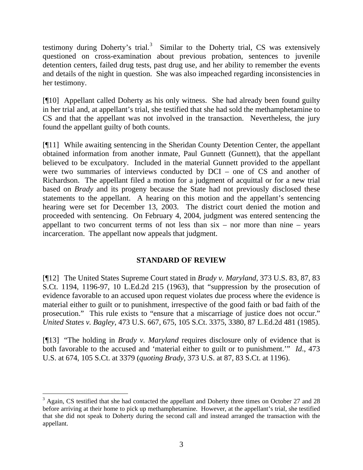testimony during Doherty's trial.<sup>[3](#page-3-0)</sup> Similar to the Doherty trial, CS was extensively questioned on cross-examination about previous probation, sentences to juvenile detention centers, failed drug tests, past drug use, and her ability to remember the events and details of the night in question. She was also impeached regarding inconsistencies in her testimony.

[¶10] Appellant called Doherty as his only witness. She had already been found guilty in her trial and, at appellant's trial, she testified that she had sold the methamphetamine to CS and that the appellant was not involved in the transaction. Nevertheless, the jury found the appellant guilty of both counts.

[¶11] While awaiting sentencing in the Sheridan County Detention Center, the appellant obtained information from another inmate, Paul Gunnett (Gunnett), that the appellant believed to be exculpatory. Included in the material Gunnett provided to the appellant were two summaries of interviews conducted by DCI – one of CS and another of Richardson. The appellant filed a motion for a judgment of acquittal or for a new trial based on *Brady* and its progeny because the State had not previously disclosed these statements to the appellant. A hearing on this motion and the appellant's sentencing hearing were set for December 13, 2003. The district court denied the motion and proceeded with sentencing. On February 4, 2004, judgment was entered sentencing the appellant to two concurrent terms of not less than  $six - nor$  more than nine – years incarceration. The appellant now appeals that judgment.

# **STANDARD OF REVIEW**

[¶12] The United States Supreme Court stated in *Brady v. Maryland*, 373 U.S. 83, 87, 83 S.Ct. 1194, 1196-97, 10 L.Ed.2d 215 (1963), that "suppression by the prosecution of evidence favorable to an accused upon request violates due process where the evidence is material either to guilt or to punishment, irrespective of the good faith or bad faith of the prosecution." This rule exists to "ensure that a miscarriage of justice does not occur." *United States v. Bagley*, 473 U.S. 667, 675, 105 S.Ct. 3375, 3380, 87 L.Ed.2d 481 (1985).

[¶13] "The holding in *Brady v. Maryland* requires disclosure only of evidence that is both favorable to the accused and 'material either to guilt or to punishment.'" *Id*., 473 U.S. at 674, 105 S.Ct. at 3379 (*quoting Brady*, 373 U.S. at 87, 83 S.Ct. at 1196).

<span id="page-3-0"></span><sup>&</sup>lt;sup>3</sup> Again, CS testified that she had contacted the appellant and Doherty three times on October 27 and 28 before arriving at their home to pick up methamphetamine. However, at the appellant's trial, she testified that she did not speak to Doherty during the second call and instead arranged the transaction with the appellant.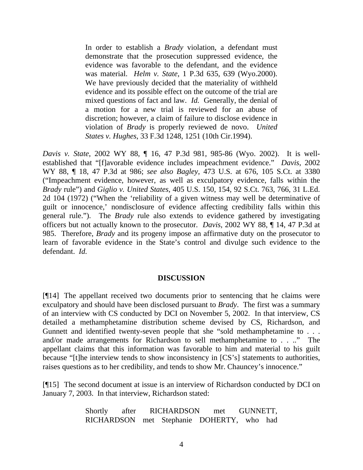In order to establish a *Brady* violation, a defendant must demonstrate that the prosecution suppressed evidence, the evidence was favorable to the defendant, and the evidence was material. *Helm v. State*, 1 P.3d 635, 639 (Wyo.2000). We have previously decided that the materiality of withheld evidence and its possible effect on the outcome of the trial are mixed questions of fact and law. *Id.* Generally, the denial of a motion for a new trial is reviewed for an abuse of discretion; however, a claim of failure to disclose evidence in violation of *Brady* is properly reviewed de novo. *United States v. Hughes*, 33 F.3d 1248, 1251 (10th Cir.1994).

*Davis v. State*, 2002 WY 88, ¶ 16, 47 P.3d 981, 985-86 (Wyo. 2002). It is wellestablished that "[f]avorable evidence includes impeachment evidence." *Davis*, 2002 WY 88, ¶ 18, 47 P.3d at 986; *see also Bagley*, 473 U.S. at 676, 105 S.Ct. at 3380 ("Impeachment evidence, however, as well as exculpatory evidence, falls within the *Brady* rule") and *Giglio v. United States*, 405 U.S. 150, 154, 92 S.Ct. 763, 766, 31 L.Ed. 2d 104 (1972) ("When the 'reliability of a given witness may well be determinative of guilt or innocence,' nondisclosure of evidence affecting credibility falls within this general rule."). The *Brady* rule also extends to evidence gathered by investigating officers but not actually known to the prosecutor. *Davis*, 2002 WY 88, ¶ 14, 47 P.3d at 985. Therefore, *Brady* and its progeny impose an affirmative duty on the prosecutor to learn of favorable evidence in the State's control and divulge such evidence to the defendant. *Id.*

### **DISCUSSION**

[¶14] The appellant received two documents prior to sentencing that he claims were exculpatory and should have been disclosed pursuant to *Brady*. The first was a summary of an interview with CS conducted by DCI on November 5, 2002. In that interview, CS detailed a methamphetamine distribution scheme devised by CS, Richardson, and Gunnett and identified twenty-seven people that she "sold methamphetamine to . . . and/or made arrangements for Richardson to sell methamphetamine to . . .." The appellant claims that this information was favorable to him and material to his guilt because "[t]he interview tends to show inconsistency in [CS's] statements to authorities, raises questions as to her credibility, and tends to show Mr. Chauncey's innocence."

[¶15] The second document at issue is an interview of Richardson conducted by DCI on January 7, 2003. In that interview, Richardson stated:

> Shortly after RICHARDSON met GUNNETT, RICHARDSON met Stephanie DOHERTY, who had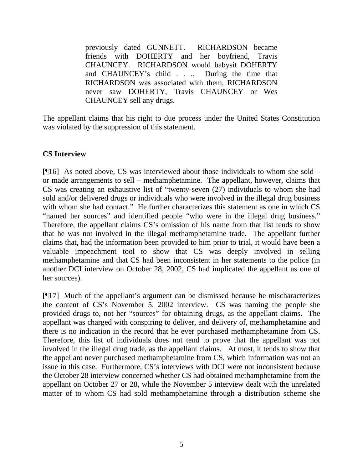previously dated GUNNETT. RICHARDSON became friends with DOHERTY and her boyfriend, Travis CHAUNCEY. RICHARDSON would babysit DOHERTY and CHAUNCEY's child . . .. During the time that RICHARDSON was associated with them, RICHARDSON never saw DOHERTY, Travis CHAUNCEY or Wes CHAUNCEY sell any drugs.

The appellant claims that his right to due process under the United States Constitution was violated by the suppression of this statement.

### **CS Interview**

[¶16] As noted above, CS was interviewed about those individuals to whom she sold – or made arrangements to sell – methamphetamine. The appellant, however, claims that CS was creating an exhaustive list of "twenty-seven (27) individuals to whom she had sold and/or delivered drugs or individuals who were involved in the illegal drug business with whom she had contact." He further characterizes this statement as one in which CS "named her sources" and identified people "who were in the illegal drug business." Therefore, the appellant claims CS's omission of his name from that list tends to show that he was not involved in the illegal methamphetamine trade. The appellant further claims that, had the information been provided to him prior to trial, it would have been a valuable impeachment tool to show that CS was deeply involved in selling methamphetamine and that CS had been inconsistent in her statements to the police (in another DCI interview on October 28, 2002, CS had implicated the appellant as one of her sources).

[¶17] Much of the appellant's argument can be dismissed because he mischaracterizes the content of CS's November 5, 2002 interview. CS was naming the people she provided drugs to, not her "sources" for obtaining drugs, as the appellant claims. The appellant was charged with conspiring to deliver, and delivery of, methamphetamine and there is no indication in the record that he ever purchased methamphetamine from CS. Therefore, this list of individuals does not tend to prove that the appellant was not involved in the illegal drug trade, as the appellant claims. At most, it tends to show that the appellant never purchased methamphetamine from CS, which information was not an issue in this case. Furthermore, CS's interviews with DCI were not inconsistent because the October 28 interview concerned whether CS had obtained methamphetamine from the appellant on October 27 or 28, while the November 5 interview dealt with the unrelated matter of to whom CS had sold methamphetamine through a distribution scheme she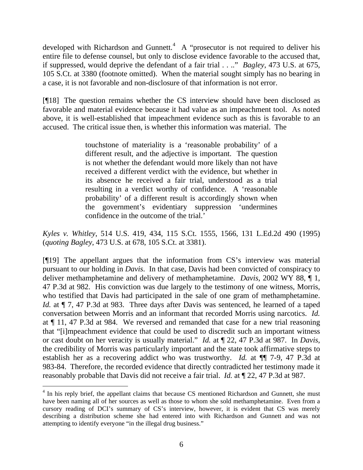developed with Richardson and Gunnett.<sup>[4](#page-6-0)</sup> A "prosecutor is not required to deliver his entire file to defense counsel, but only to disclose evidence favorable to the accused that, if suppressed, would deprive the defendant of a fair trial . . .." *Bagley*, 473 U.S. at 675, 105 S.Ct. at 3380 (footnote omitted). When the material sought simply has no bearing in a case, it is not favorable and non-disclosure of that information is not error.

[¶18] The question remains whether the CS interview should have been disclosed as favorable and material evidence because it had value as an impeachment tool. As noted above, it is well-established that impeachment evidence such as this is favorable to an accused. The critical issue then, is whether this information was material. The

> touchstone of materiality is a 'reasonable probability' of a different result, and the adjective is important. The question is not whether the defendant would more likely than not have received a different verdict with the evidence, but whether in its absence he received a fair trial, understood as a trial resulting in a verdict worthy of confidence. A 'reasonable probability' of a different result is accordingly shown when the government's evidentiary suppression 'undermines confidence in the outcome of the trial.'

*Kyles v. Whitley*, 514 U.S. 419, 434, 115 S.Ct. 1555, 1566, 131 L.Ed.2d 490 (1995) (*quoting Bagley*, 473 U.S. at 678, 105 S.Ct. at 3381).

[¶19] The appellant argues that the information from CS's interview was material pursuant to our holding in *Davis*. In that case, Davis had been convicted of conspiracy to deliver methamphetamine and delivery of methamphetamine. *Davis*, 2002 WY 88, ¶ 1, 47 P.3d at 982. His conviction was due largely to the testimony of one witness, Morris, who testified that Davis had participated in the sale of one gram of methamphetamine. *Id.* at  $\P$  7, 47 P.3d at 983. Three days after Davis was sentenced, he learned of a taped conversation between Morris and an informant that recorded Morris using narcotics. *Id.* at ¶ 11, 47 P.3d at 984. We reversed and remanded that case for a new trial reasoning that "[i]mpeachment evidence that could be used to discredit such an important witness or cast doubt on her veracity is usually material." *Id.* at ¶ 22, 47 P.3d at 987. In *Davis*, the credibility of Morris was particularly important and the state took affirmative steps to establish her as a recovering addict who was trustworthy. *Id.* at ¶¶ 7-9, 47 P.3d at 983-84. Therefore, the recorded evidence that directly contradicted her testimony made it reasonably probable that Davis did not receive a fair trial. *Id.* at ¶ 22, 47 P.3d at 987.

 $\overline{a}$ 

<span id="page-6-0"></span><sup>&</sup>lt;sup>4</sup> In his reply brief, the appellant claims that because CS mentioned Richardson and Gunnett, she must have been naming all of her sources as well as those to whom she sold methamphetamine. Even from a cursory reading of DCI's summary of CS's interview, however, it is evident that CS was merely describing a distribution scheme she had entered into with Richardson and Gunnett and was not attempting to identify everyone "in the illegal drug business."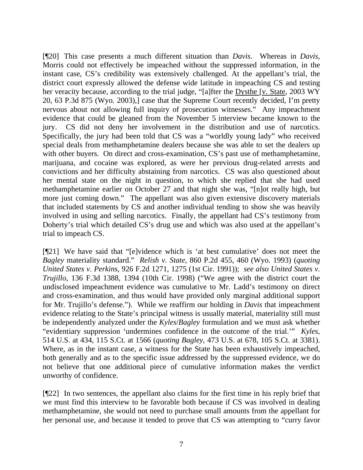[¶20] This case presents a much different situation than *Davis*. Whereas in *Davis*, Morris could not effectively be impeached without the suppressed information, in the instant case, CS's credibility was extensively challenged. At the appellant's trial, the district court expressly allowed the defense wide latitude in impeaching CS and testing her veracity because, according to the trial judge, "[a]fter the Dysthe [v. State, 2003 WY 20, 63 P.3d 875 (Wyo. 2003),] case that the Supreme Court recently decided, I'm pretty nervous about not allowing full inquiry of prosecution witnesses." Any impeachment evidence that could be gleaned from the November 5 interview became known to the jury. CS did not deny her involvement in the distribution and use of narcotics. Specifically, the jury had been told that CS was a "worldly young lady" who received special deals from methamphetamine dealers because she was able to set the dealers up with other buyers. On direct and cross-examination, CS's past use of methamphetamine, marijuana, and cocaine was explored, as were her previous drug-related arrests and convictions and her difficulty abstaining from narcotics. CS was also questioned about her mental state on the night in question, to which she replied that she had used methamphetamine earlier on October 27 and that night she was, "[n]ot really high, but more just coming down." The appellant was also given extensive discovery materials that included statements by CS and another individual tending to show she was heavily involved in using and selling narcotics. Finally, the appellant had CS's testimony from Doherty's trial which detailed CS's drug use and which was also used at the appellant's trial to impeach CS.

[¶21] We have said that "[e]vidence which is 'at best cumulative' does not meet the *Bagley* materiality standard." *Relish v. State*, 860 P.2d 455, 460 (Wyo. 1993) (*quoting United States v. Perkins*, 926 F.2d 1271, 1275 (1st Cir. 1991)); *see also United States v. Trujillo*, 136 F.3d 1388, 1394 (10th Cir. 1998) ("We agree with the district court the undisclosed impeachment evidence was cumulative to Mr. Ladd's testimony on direct and cross-examination, and thus would have provided only marginal additional support for Mr. Trujillo's defense."). While we reaffirm our holding in *Davis* that impeachment evidence relating to the State's principal witness is usually material, materiality still must be independently analyzed under the *Kyles*/*Bagley* formulation and we must ask whether "evidentiary suppression 'undermines confidence in the outcome of the trial.'" *Kyles*, 514 U.S. at 434, 115 S.Ct. at 1566 (*quoting Bagley*, 473 U.S. at 678, 105 S.Ct. at 3381). Where, as in the instant case, a witness for the State has been exhaustively impeached, both generally and as to the specific issue addressed by the suppressed evidence, we do not believe that one additional piece of cumulative information makes the verdict unworthy of confidence.

[¶22] In two sentences, the appellant also claims for the first time in his reply brief that we must find this interview to be favorable both because if CS was involved in dealing methamphetamine, she would not need to purchase small amounts from the appellant for her personal use, and because it tended to prove that CS was attempting to "curry favor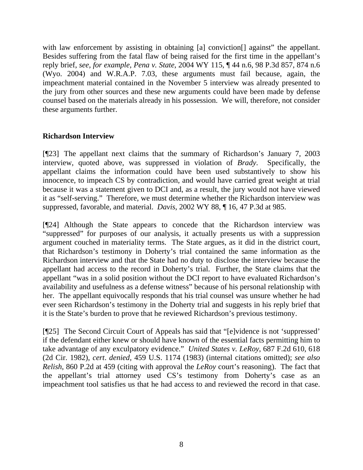with law enforcement by assisting in obtaining [a] conviction<sup>[]</sup> against" the appellant. Besides suffering from the fatal flaw of being raised for the first time in the appellant's reply brief, *see, for example, Pena v. State*, 2004 WY 115, ¶ 44 n.6, 98 P.3d 857, 874 n.6 (Wyo. 2004) and W.R.A.P. 7.03, these arguments must fail because, again, the impeachment material contained in the November 5 interview was already presented to the jury from other sources and these new arguments could have been made by defense counsel based on the materials already in his possession. We will, therefore, not consider these arguments further.

# **Richardson Interview**

[¶23] The appellant next claims that the summary of Richardson's January 7, 2003 interview, quoted above, was suppressed in violation of *Brady*. Specifically, the appellant claims the information could have been used substantively to show his innocence, to impeach CS by contradiction, and would have carried great weight at trial because it was a statement given to DCI and, as a result, the jury would not have viewed it as "self-serving." Therefore, we must determine whether the Richardson interview was suppressed, favorable, and material. *Davis*, 2002 WY 88, ¶ 16, 47 P.3d at 985.

[¶24] Although the State appears to concede that the Richardson interview was "suppressed" for purposes of our analysis, it actually presents us with a suppression argument couched in materiality terms. The State argues, as it did in the district court, that Richardson's testimony in Doherty's trial contained the same information as the Richardson interview and that the State had no duty to disclose the interview because the appellant had access to the record in Doherty's trial. Further, the State claims that the appellant "was in a solid position without the DCI report to have evaluated Richardson's availability and usefulness as a defense witness" because of his personal relationship with her. The appellant equivocally responds that his trial counsel was unsure whether he had ever seen Richardson's testimony in the Doherty trial and suggests in his reply brief that it is the State's burden to prove that he reviewed Richardson's previous testimony.

[¶25] The Second Circuit Court of Appeals has said that "[e]vidence is not 'suppressed' if the defendant either knew or should have known of the essential facts permitting him to take advantage of any exculpatory evidence." *United States v. LeRoy*, 687 F.2d 610, 618 (2d Cir. 1982), *cert*. *denied,* 459 U.S. 1174 (1983) (internal citations omitted); *see also Relish*, 860 P.2d at 459 (citing with approval the *LeRoy* court's reasoning). The fact that the appellant's trial attorney used CS's testimony from Doherty's case as an impeachment tool satisfies us that he had access to and reviewed the record in that case.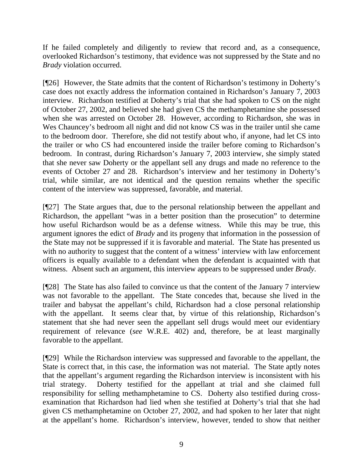If he failed completely and diligently to review that record and, as a consequence, overlooked Richardson's testimony, that evidence was not suppressed by the State and no *Brady* violation occurred.

[¶26] However, the State admits that the content of Richardson's testimony in Doherty's case does not exactly address the information contained in Richardson's January 7, 2003 interview. Richardson testified at Doherty's trial that she had spoken to CS on the night of October 27, 2002, and believed she had given CS the methamphetamine she possessed when she was arrested on October 28. However, according to Richardson, she was in Wes Chauncey's bedroom all night and did not know CS was in the trailer until she came to the bedroom door. Therefore, she did not testify about who, if anyone, had let CS into the trailer or who CS had encountered inside the trailer before coming to Richardson's bedroom. In contrast, during Richardson's January 7, 2003 interview, she simply stated that she never saw Doherty or the appellant sell any drugs and made no reference to the events of October 27 and 28. Richardson's interview and her testimony in Doherty's trial, while similar, are not identical and the question remains whether the specific content of the interview was suppressed, favorable, and material.

[¶27] The State argues that, due to the personal relationship between the appellant and Richardson, the appellant "was in a better position than the prosecution" to determine how useful Richardson would be as a defense witness. While this may be true, this argument ignores the edict of *Brady* and its progeny that information in the possession of the State may not be suppressed if it is favorable and material. The State has presented us with no authority to suggest that the content of a witness' interview with law enforcement officers is equally available to a defendant when the defendant is acquainted with that witness. Absent such an argument, this interview appears to be suppressed under *Brady*.

[¶28] The State has also failed to convince us that the content of the January 7 interview was not favorable to the appellant. The State concedes that, because she lived in the trailer and babysat the appellant's child, Richardson had a close personal relationship with the appellant. It seems clear that, by virtue of this relationship, Richardson's statement that she had never seen the appellant sell drugs would meet our evidentiary requirement of relevance (*see* W.R.E. 402) and, therefore, be at least marginally favorable to the appellant.

[¶29] While the Richardson interview was suppressed and favorable to the appellant, the State is correct that, in this case, the information was not material. The State aptly notes that the appellant's argument regarding the Richardson interview is inconsistent with his trial strategy. Doherty testified for the appellant at trial and she claimed full responsibility for selling methamphetamine to CS. Doherty also testified during crossexamination that Richardson had lied when she testified at Doherty's trial that she had given CS methamphetamine on October 27, 2002, and had spoken to her later that night at the appellant's home. Richardson's interview, however, tended to show that neither